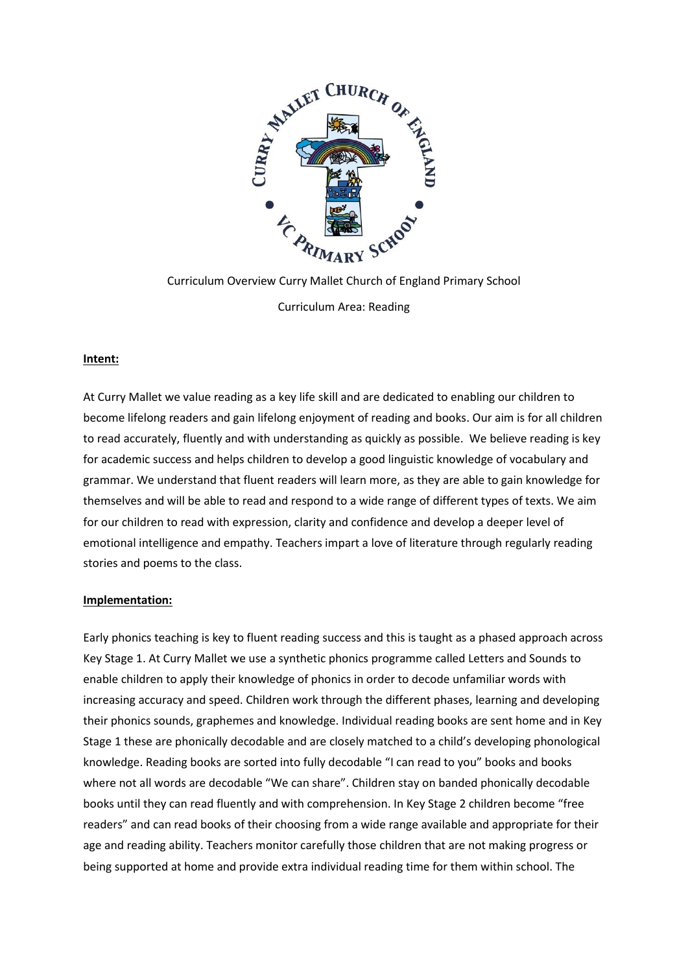

Curriculum Overview Curry Mallet Church of England Primary School Curriculum Area: Reading

# **Intent:**

At Curry Mallet we value reading as a key life skill and are dedicated to enabling our children to become lifelong readers and gain lifelong enjoyment of reading and books. Our aim is for all children to read accurately, fluently and with understanding as quickly as possible. We believe reading is key for academic success and helps children to develop a good linguistic knowledge of vocabulary and grammar. We understand that fluent readers will learn more, as they are able to gain knowledge for themselves and will be able to read and respond to a wide range of different types of texts. We aim for our children to read with expression, clarity and confidence and develop a deeper level of emotional intelligence and empathy. Teachers impart a love of literature through regularly reading stories and poems to the class.

### **Implementation:**

Early phonics teaching is key to fluent reading success and this is taught as a phased approach across Key Stage 1. At Curry Mallet we use a synthetic phonics programme called Letters and Sounds to enable children to apply their knowledge of phonics in order to decode unfamiliar words with increasing accuracy and speed. Children work through the different phases, learning and developing their phonics sounds, graphemes and knowledge. Individual reading books are sent home and in Key Stage 1 these are phonically decodable and are closely matched to a child's developing phonological knowledge. Reading books are sorted into fully decodable "I can read to you" books and books where not all words are decodable "We can share". Children stay on banded phonically decodable books until they can read fluently and with comprehension. In Key Stage 2 children become "free readers" and can read books of their choosing from a wide range available and appropriate for their age and reading ability. Teachers monitor carefully those children that are not making progress or being supported at home and provide extra individual reading time for them within school. The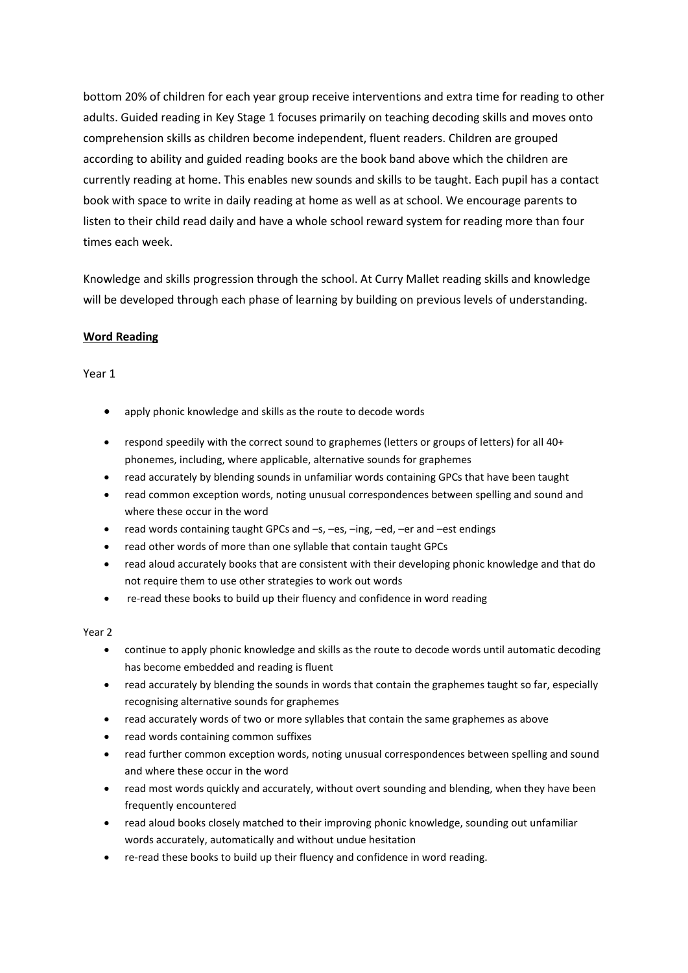bottom 20% of children for each year group receive interventions and extra time for reading to other adults. Guided reading in Key Stage 1 focuses primarily on teaching decoding skills and moves onto comprehension skills as children become independent, fluent readers. Children are grouped according to ability and guided reading books are the book band above which the children are currently reading at home. This enables new sounds and skills to be taught. Each pupil has a contact book with space to write in daily reading at home as well as at school. We encourage parents to listen to their child read daily and have a whole school reward system for reading more than four times each week.

Knowledge and skills progression through the school. At Curry Mallet reading skills and knowledge will be developed through each phase of learning by building on previous levels of understanding.

# **Word Reading**

Year 1

- apply phonic knowledge and skills as the route to decode words
- respond speedily with the correct sound to graphemes (letters or groups of letters) for all 40+ phonemes, including, where applicable, alternative sounds for graphemes
- read accurately by blending sounds in unfamiliar words containing GPCs that have been taught
- read common exception words, noting unusual correspondences between spelling and sound and where these occur in the word
- read words containing taught GPCs and –s, –es, –ing, –ed, –er and –est endings
- read other words of more than one syllable that contain taught GPCs
- read aloud accurately books that are consistent with their developing phonic knowledge and that do not require them to use other strategies to work out words
- re-read these books to build up their fluency and confidence in word reading

Year 2

- continue to apply phonic knowledge and skills as the route to decode words until automatic decoding has become embedded and reading is fluent
- read accurately by blending the sounds in words that contain the graphemes taught so far, especially recognising alternative sounds for graphemes
- read accurately words of two or more syllables that contain the same graphemes as above
- read words containing common suffixes
- read further common exception words, noting unusual correspondences between spelling and sound and where these occur in the word
- read most words quickly and accurately, without overt sounding and blending, when they have been frequently encountered
- read aloud books closely matched to their improving phonic knowledge, sounding out unfamiliar words accurately, automatically and without undue hesitation
- re-read these books to build up their fluency and confidence in word reading.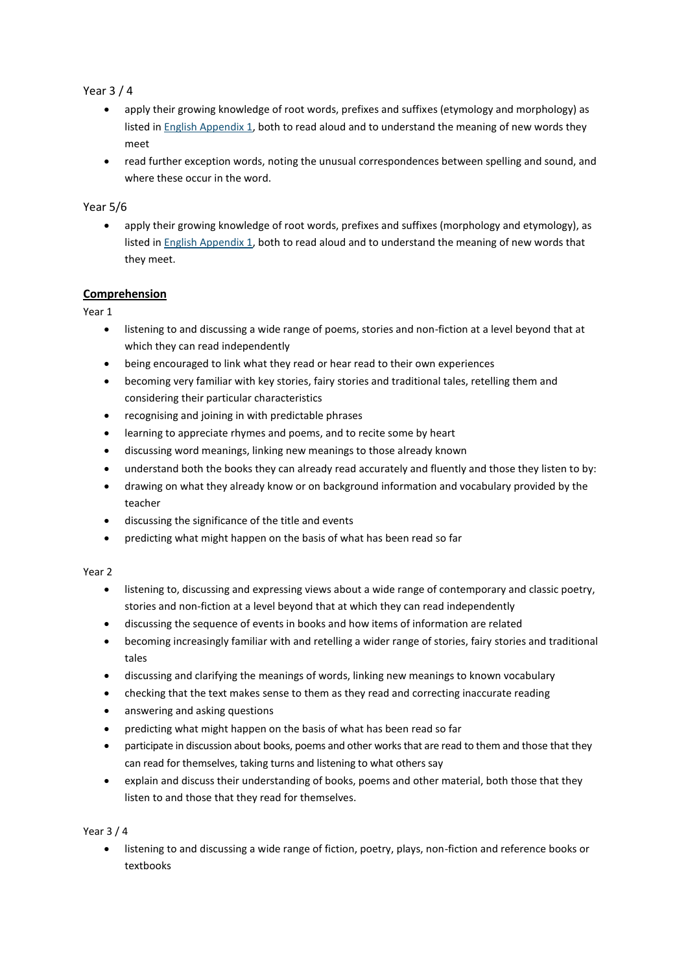## Year 3 / 4

- apply their growing knowledge of root words, prefixes and suffixes (etymology and morphology) as listed in English Appendix 1, both to read aloud and to understand the meaning of new words they meet
- read further exception words, noting the unusual correspondences between spelling and sound, and where these occur in the word.

### Year 5/6

 apply their growing knowledge of root words, prefixes and suffixes (morphology and etymology), as listed in English Appendix 1, both to read aloud and to understand the meaning of new words that they meet.

### **Comprehension**

Year 1

- listening to and discussing a wide range of poems, stories and non-fiction at a level beyond that at which they can read independently
- being encouraged to link what they read or hear read to their own experiences
- becoming very familiar with key stories, fairy stories and traditional tales, retelling them and considering their particular characteristics
- recognising and joining in with predictable phrases
- learning to appreciate rhymes and poems, and to recite some by heart
- discussing word meanings, linking new meanings to those already known
- understand both the books they can already read accurately and fluently and those they listen to by:
- drawing on what they already know or on background information and vocabulary provided by the teacher
- discussing the significance of the title and events
- predicting what might happen on the basis of what has been read so far

#### Year 2

- listening to, discussing and expressing views about a wide range of contemporary and classic poetry, stories and non-fiction at a level beyond that at which they can read independently
- discussing the sequence of events in books and how items of information are related
- becoming increasingly familiar with and retelling a wider range of stories, fairy stories and traditional tales
- discussing and clarifying the meanings of words, linking new meanings to known vocabulary
- checking that the text makes sense to them as they read and correcting inaccurate reading
- answering and asking questions
- predicting what might happen on the basis of what has been read so far
- participate in discussion about books, poems and other works that are read to them and those that they can read for themselves, taking turns and listening to what others say
- explain and discuss their understanding of books, poems and other material, both those that they listen to and those that they read for themselves.

#### Year 3 / 4

 listening to and discussing a wide range of fiction, poetry, plays, non-fiction and reference books or textbooks